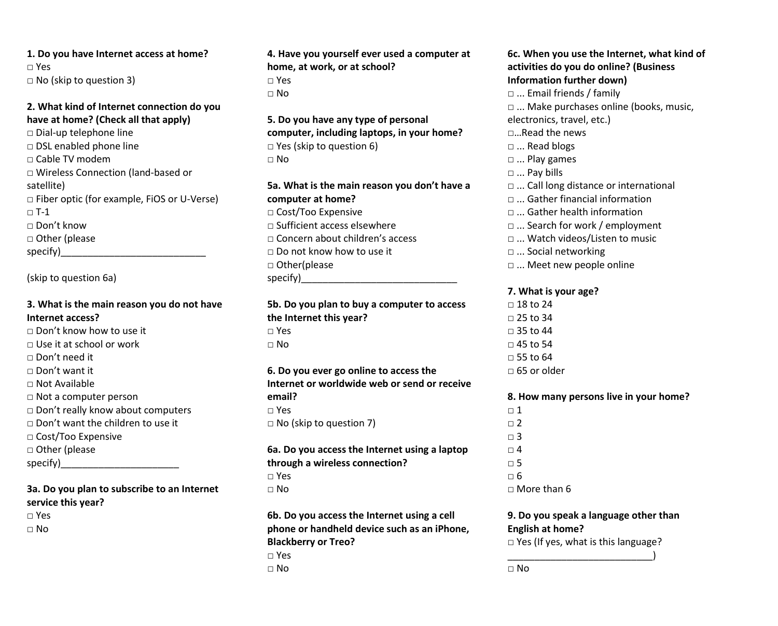**1. Do you have Internet access at home?**  □ Yes  $\Box$  No (skip to question 3)

#### **2. What kind of Internet connection do you have at home? (Check all that apply)**

□ Dial-up telephone line □ DSL enabled phone line □ Cable TV modem □ Wireless Connection (land-based or satellite) □ Fiber optic (for example, FiOS or U-Verse)  $\neg$  T-1 □ Don't know □ Other (please specify)\_\_\_\_\_\_\_\_\_\_\_\_\_\_\_\_\_\_\_\_\_\_\_\_\_\_\_

(skip to question 6a)

## **3. What is the main reason you do not have Internet access?**

□ Don't know how to use it  $\Box$  Use it at school or work □ Don't need it □ Don't want it  $\Box$  Not Available □ Not a computer person □ Don't really know about computers □ Don't want the children to use it □ Cost/Too Expensive □ Other (please specify)

# **3a. Do you plan to subscribe to an Internet service this year?**

□ Yes

□ No

**4. Have you yourself ever used a computer at home, at work, or at school?**  □ Yes  $\Box$  No

**5. Do you have any type of personal computer, including laptops, in your home?**  □ Yes (skip to question 6)  $\sqcap$  No

**5a. What is the main reason you don't have a computer at home?**  □ Cost/Too Expensive □ Sufficient access elsewhere □ Concern about children's access □ Do not know how to use it □ Other(please specify)

**5b. Do you plan to buy a computer to access the Internet this year?**  □ Yes  $\Box$  No

## **6. Do you ever go online to access the Internet or worldwide web or send or receive email?**   $\Box$  Yes  $\Box$  No (skip to question 7)

# **6a. Do you access the Internet using a laptop through a wireless connection?**  □ Yes

 $\Box$  No

**6b. Do you access the Internet using a cell phone or handheld device such as an iPhone, Blackberry or Treo?**  □ Yes

□ No

#### **6c. When you use the Internet, what kind of activities do you do online? (Business Information further down)**

- □ ... Email friends / family
- □ ... Make purchases online (books, music, electronics, travel, etc.)
- □…Read the news
- □ ... Read blogs
- □ ... Play games
- □ ... Pay bills
- □ ... Call long distance or international
- □ ... Gather financial information
- □ ... Gather health information
- □ ... Search for work / employment
- □ ... Watch videos/Listen to music
- □ ... Social networking
- □ ... Meet new people online

# **7. What is your age?**

 $\Box$  18 to 24 □ 25 to 34  $\Box$  35 to 44  $\Box$  45 to 54  $\Box$  55 to 64  $\Box$  65 or older

# **8. How many persons live in your home?**

 $\Box$  1  $\Box$  2  $\Box$  3  $\Box$  4 □ 5  $\Box$  6  $\Box$  More than 6

### **9. Do you speak a language other than English at home?**

□ Yes (If yes, what is this language? \_\_\_\_\_\_\_\_\_\_\_\_\_\_\_\_\_\_\_\_\_\_\_\_\_\_\_)

□ No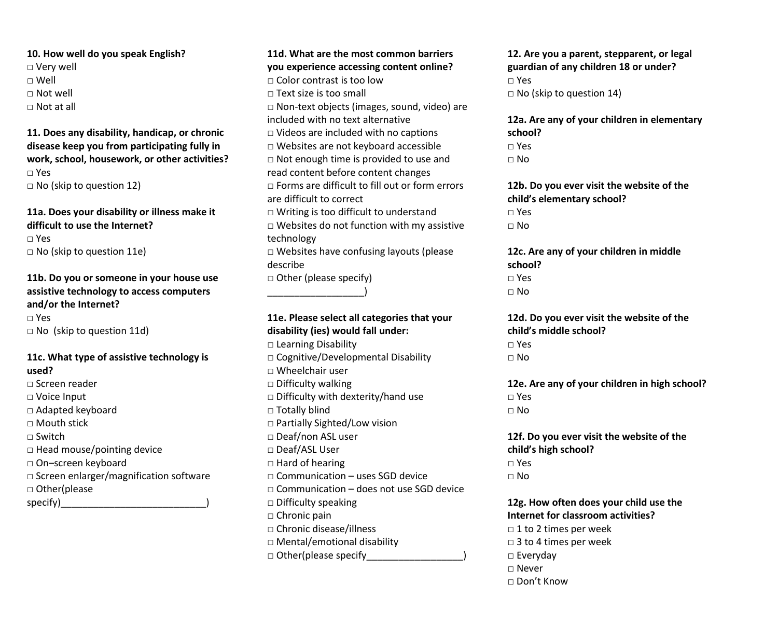**10. How well do you speak English?**  □ Very well □ Well  $\Box$  Not well □ Not at all

**11. Does any disability, handicap, or chronic disease keep you from participating fully in work, school, housework, or other activities?**  □ Yes □ No (skip to question 12)

#### **11a. Does your disability or illness make it difficult to use the Internet?**

□ Yes □ No (skip to question 11e)

# **11b. Do you or someone in your house use assistive technology to access computers and/or the Internet?**  □ Yes

□ No (skip to question 11d)

#### **11c. What type of assistive technology is used?**

□ Screen reader □ Voice Input □ Adapted keyboard □ Mouth stick □ Switch  $\square$  Head mouse/pointing device □ On–screen keyboard □ Screen enlarger/magnification software □ Other(please specify)

# **11d. What are the most common barriers you experience accessing content online?**  □ Color contrast is too low □ Text size is too small □ Non-text objects (images, sound, video) are included with no text alternative □ Videos are included with no captions □ Websites are not keyboard accessible □ Not enough time is provided to use and read content before content changes  $\Box$  Forms are difficult to fill out or form errors are difficult to correct  $\Box$  Writing is too difficult to understand □ Websites do not function with my assistive technology □ Websites have confusing layouts (please describe □ Other (please specify) \_\_\_\_\_\_\_\_\_\_\_\_\_\_\_\_\_\_)

# **11e. Please select all categories that your disability (ies) would fall under:**

□ Learning Disability □ Cognitive/Developmental Disability □ Wheelchair user □ Difficulty walking □ Difficulty with dexterity/hand use □ Totally blind □ Partially Sighted/Low vision □ Deaf/non ASL user □ Deaf/ASL User □ Hard of hearing  $\Box$  Communication – uses SGD device  $\Box$  Communication – does not use SGD device  $\square$  Difficulty speaking □ Chronic pain □ Chronic disease/illness □ Mental/emotional disability □ Other(please specify

**12. Are you a parent, stepparent, or legal guardian of any children 18 or under?**  □ Yes  $\Box$  No (skip to question 14)

**12a. Are any of your children in elementary school?**  □ Yes

 $\Box$  No

**12b. Do you ever visit the website of the child's elementary school?**  □ Yes

 $\Box$  No

**12c. Are any of your children in middle school?**  □ Yes □ No

**12d. Do you ever visit the website of the child's middle school?**  □ Yes

□ No

**12e. Are any of your children in high school?**  □ Yes  $\Box$  No

**12f. Do you ever visit the website of the child's high school?**  □ Yes  $\Box$  No

**12g. How often does your child use the Internet for classroom activities?**   $\Box$  1 to 2 times per week □ 3 to 4 times per week □ Everyday □ Never □ Don't Know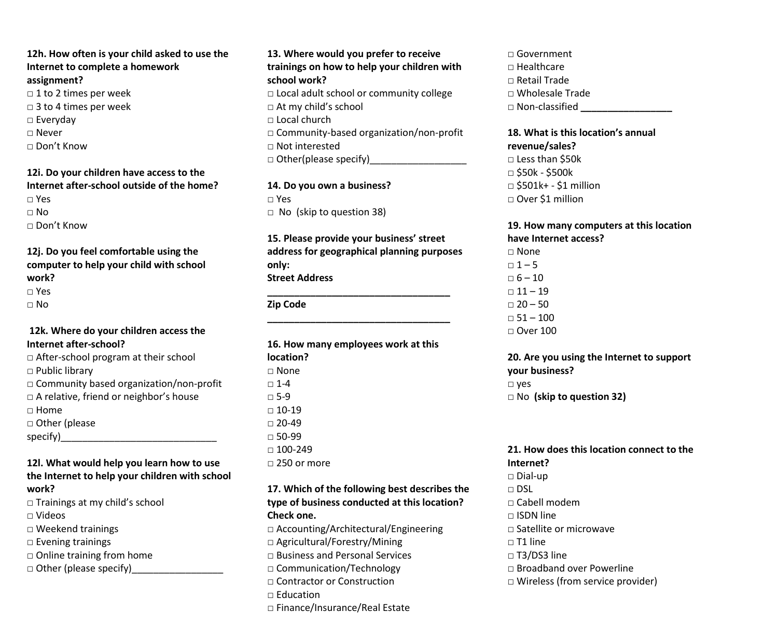**12h. How often is your child asked to use the Internet to complete a homework assignment?**  □ 1 to 2 times per week

□ 3 to 4 times per week

- □ Everyday
- □ Never
- □ Don't Know

#### **12i. Do your children have access to the Internet after-school outside of the home?**  □ Yes  $\Box$  No  $\Box$  Don't Know

## **12j. Do you feel comfortable using the computer to help your child with school work?**

```
□ Yes
```
 $\Box$  No

### **12k. Where do your children access the Internet after-school?**

 $\Box$  After-school program at their school □ Public library □ Community based organization/non-profit □ A relative, friend or neighbor's house □ Home □ Other (please specify)\_\_\_\_\_\_\_\_\_\_\_\_\_\_\_\_\_\_\_\_\_\_\_\_\_\_\_\_\_

#### **12l. What would help you learn how to use the Internet to help your children with school work?**

□ Trainings at my child's school

- □ Videos
- □ Weekend trainings
- □ Evening trainings
- □ Online training from home
- $\Box$  Other (please specify)

### **13. Where would you prefer to receive trainings on how to help your children with school work?**   $\Box$  Local adult school or community college □ At my child's school  $\Box$  Local church

□ Community-based organization/non-profit □ Not interested

 $\Box$  Other(please specify)

# **14. Do you own a business?**  □ Yes

□ No (skip to question 38)

### **15. Please provide your business' street address for geographical planning purposes only: Street Address**

**\_\_\_\_\_\_\_\_\_\_\_\_\_\_\_\_\_\_\_\_\_\_\_\_\_\_\_\_\_\_\_\_\_\_** 

#### **\_\_\_\_\_\_\_\_\_\_\_\_\_\_\_\_\_\_\_\_\_\_\_\_\_\_\_\_\_\_\_\_\_\_ Zip Code**

**16. How many employees work at this location?** □ None  $\Box$  1-4  $\Box$  5-9  $\Box$  10-19  $\Box$  20-49  $\Box$  50-99  $\Box$  100-249 □ 250 or more

#### **17. Which of the following best describes the type of business conducted at this location? Check one.**

□ Accounting/Architectural/Engineering □ Agricultural/Forestry/Mining □ Business and Personal Services □ Communication/Technology □ Contractor or Construction □ Education □ Finance/Insurance/Real Estate

□ Government  $\Box$  Healthcare □ Retail Trade □ Wholesale Trade □ Non-classified **\_\_\_\_\_\_\_\_\_\_\_\_\_\_\_\_\_**

# **18. What is this location's annual revenue/sales?**

□ Less than \$50k □ \$50k - \$500k □ \$501k+ - \$1 million □ Over \$1 million

# **19. How many computers at this location have Internet access?**

 $\Box$  None  $-1 - 5$  $\Box$  6 – 10  $\Box$  11 – 19  $\Box$  20 – 50  $-51 - 100$  $\Box$  Over 100

# **20. Are you using the Internet to support your business?**  □ yes □ No **(skip to question 32)**

#### **21. How does this location connect to the Internet?**

 $\Box$  Dial-up  $\Box$  DSL  $\Box$  Cabell modem  $\Box$  ISDN line □ Satellite or microwave  $\Box$  T1 line  $\square$  T3/DS3 line □ Broadband over Powerline □ Wireless (from service provider)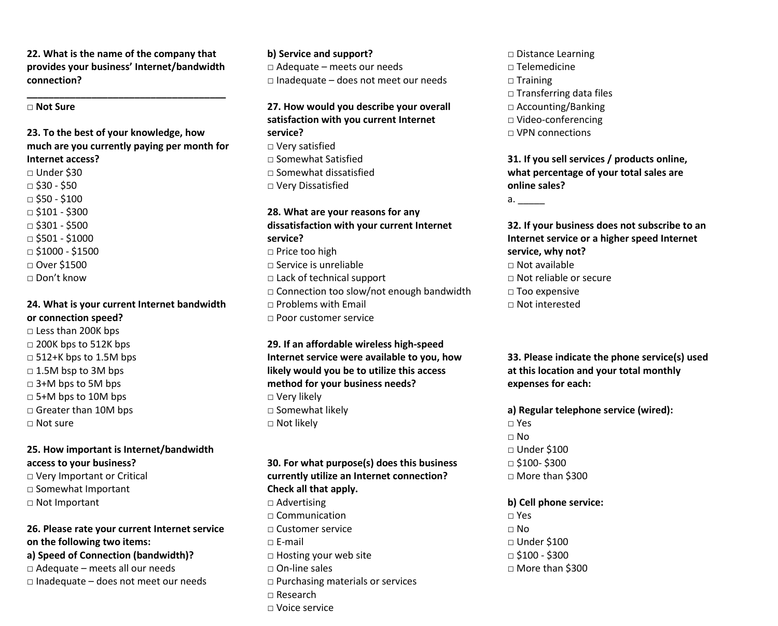**22. What is the name of the company that provides your business' Internet/bandwidth connection?**

**\_\_\_\_\_\_\_\_\_\_\_\_\_\_\_\_\_\_\_\_\_\_\_\_\_\_\_\_\_\_\_\_\_\_\_\_\_**

#### **□ Not Sure**

**23. To the best of your knowledge, how much are you currently paying per month for Internet access?** □ Under \$30  $\Box$  \$30 - \$50  $\Box$  \$50 - \$100  $\Box$  \$101 - \$300  $\Box$  \$301 - \$500 □ \$501 - \$1000  $\Box$  \$1000 - \$1500 □ Over \$1500 □ Don't know

#### **24. What is your current Internet bandwidth or connection speed?**

□ Less than 200K bps  $\Box$  200K bps to 512K bps  $\Box$  512+K bps to 1.5M bps □ 1.5M bsp to 3M bps □ 3+M bps to 5M bps  $\Box$  5+M bps to 10M bps □ Greater than 10M bps □ Not sure

### **25. How important is Internet/bandwidth access to your business?**

□ Very Important or Critical □ Somewhat Important □ Not Important

#### **26. Please rate your current Internet service on the following two items:**

**a) Speed of Connection (bandwidth)?**

- □ Adequate meets all our needs
- $\Box$  Inadequate does not meet our needs

**b) Service and support?** □ Adequate – meets our needs  $\Box$  Inadequate – does not meet our needs

#### **27. How would you describe your overall satisfaction with you current Internet**

**service?** □ Very satisfied □ Somewhat Satisfied □ Somewhat dissatisfied □ Very Dissatisfied

#### **28. What are your reasons for any dissatisfaction with your current Internet service?**

□ Price too high  $\Box$  Service is unreliable □ Lack of technical support □ Connection too slow/not enough bandwidth  $\Box$  Problems with Email □ Poor customer service

**29. If an affordable wireless high-speed Internet service were available to you, how likely would you be to utilize this access method for your business needs?** □ Very likely □ Somewhat likely □ Not likely

**30. For what purpose(s) does this business currently utilize an Internet connection? Check all that apply.** □ Advertising  $\Box$  Communication □ Customer service  $\sqcap$  F-mail □ Hosting your web site □ On-line sales □ Purchasing materials or services  $\Box$  Research □ Voice service

□ Distance Learning □ Telemedicine □ Training □ Transferring data files □ Accounting/Banking □ Video-conferencing  $\Box$  VPN connections

**31. If you sell services / products online, what percentage of your total sales are online sales?** 

a. \_\_\_\_\_\_\_

**32. If your business does not subscribe to an Internet service or a higher speed Internet service, why not?**  $\Box$  Not available □ Not reliable or secure

- $\Box$  Too expensive
- □ Not interested

**33. Please indicate the phone service(s) used at this location and your total monthly expenses for each:**

**a) Regular telephone service (wired):**  □ Yes  $\Box$  No □ Under \$100  $\Box$  \$100-\$300  $\Box$  More than \$300

**b) Cell phone service:** □ Yes  $\Box$  No □ Under \$100 □ \$100 - \$300 □ More than \$300